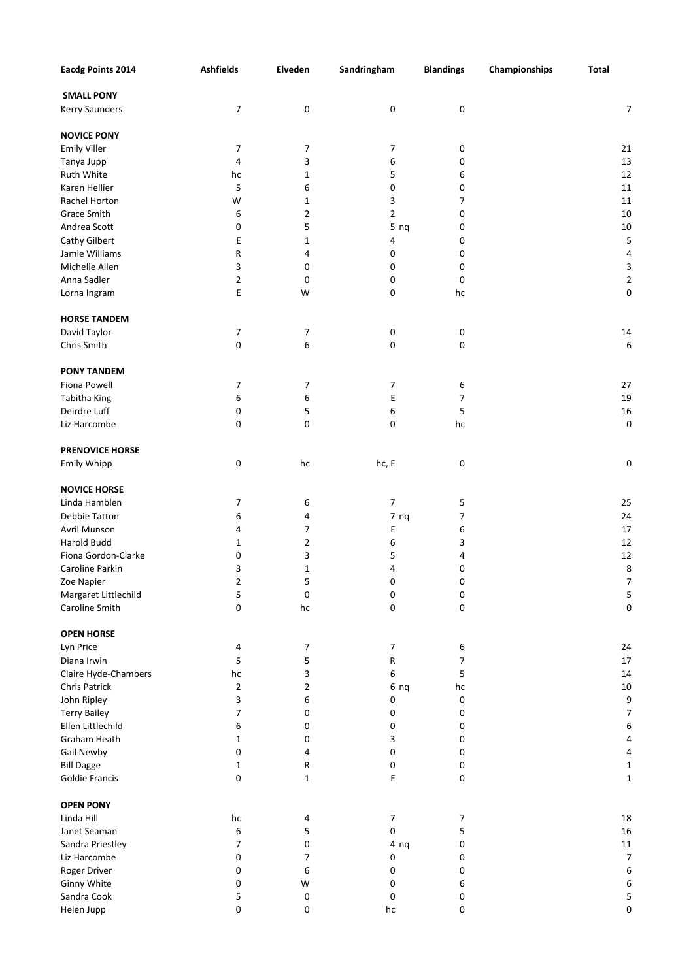| <b>Eacdg Points 2014</b> | <b>Ashfields</b> | Elveden                 | Sandringham     | <b>Blandings</b>         | Championships | <b>Total</b>            |
|--------------------------|------------------|-------------------------|-----------------|--------------------------|---------------|-------------------------|
| <b>SMALL PONY</b>        |                  |                         |                 |                          |               |                         |
| Kerry Saunders           | 7                | $\pmb{0}$               | 0               | $\pmb{0}$                |               | 7                       |
|                          |                  |                         |                 |                          |               |                         |
| <b>NOVICE PONY</b>       |                  |                         |                 |                          |               |                         |
| <b>Emily Viller</b>      | 7                | 7                       | 7               | 0                        |               | 21                      |
| Tanya Jupp               | 4                | 3                       | 6               | 0                        |               | 13                      |
| Ruth White               | hc               | $\mathbf{1}$            | 5               | 6                        |               | 12                      |
| Karen Hellier            | 5                | 6                       | 0               | 0                        |               | 11                      |
| Rachel Horton            | W                | $\mathbf{1}$            | 3               | 7                        |               | 11                      |
| Grace Smith              | 6                | 2                       | 2               | 0                        |               | 10                      |
| Andrea Scott             | 0                | 5                       | 5 <sub>ng</sub> | 0                        |               | 10                      |
| Cathy Gilbert            | E                | 1                       | 4               | 0                        |               | 5                       |
| Jamie Williams           | R                | 4                       | 0               | 0                        |               | 4                       |
| Michelle Allen           | 3                | 0                       | 0               | 0                        |               | 3                       |
| Anna Sadler              | $\overline{2}$   | $\pmb{0}$               | 0               | 0                        |               | $\overline{\mathbf{c}}$ |
| Lorna Ingram             | E                | W                       | 0               | hc                       |               | $\boldsymbol{0}$        |
| <b>HORSE TANDEM</b>      |                  |                         |                 |                          |               |                         |
| David Taylor             | 7                | $\overline{7}$          | 0               | $\pmb{0}$                |               | 14                      |
| Chris Smith              | 0                | 6                       | 0               | 0                        |               | 6                       |
| <b>PONY TANDEM</b>       |                  |                         |                 |                          |               |                         |
| Fiona Powell             | 7                | 7                       | 7               | 6                        |               | 27                      |
| Tabitha King             | 6                | 6                       | E               | $\overline{7}$           |               | 19                      |
| Deirdre Luff             | 0                | 5                       | 6               | 5                        |               | 16                      |
| Liz Harcombe             | 0                | 0                       | 0               | hc                       |               | $\boldsymbol{0}$        |
|                          |                  |                         |                 |                          |               |                         |
| <b>PRENOVICE HORSE</b>   |                  |                         |                 |                          |               |                         |
| Emily Whipp              | 0                | hc                      | hc, E           | $\mathbf 0$              |               | 0                       |
| <b>NOVICE HORSE</b>      |                  |                         |                 |                          |               |                         |
| Linda Hamblen            | 7                | 6                       | 7               | 5                        |               | 25                      |
| Debbie Tatton            | 6                | 4                       | 7 <sub>ng</sub> | $\overline{\phantom{a}}$ |               | 24                      |
| Avril Munson             | 4                | 7                       | E               | 6                        |               | 17                      |
| Harold Budd              | 1                | 2                       | 6               | 3                        |               | 12                      |
| Fiona Gordon-Clarke      | 0                | 3                       | 5               | 4                        |               | 12                      |
| Caroline Parkin          | 3                | 1                       | 4               | 0                        |               | 8                       |
| Zoe Napier               | 2                | 5                       | 0               | $\mathbf 0$              |               | $\overline{7}$          |
| Margaret Littlechild     | 5                | $\pmb{0}$               | 0               | 0                        |               | 5                       |
| Caroline Smith           | 0                | $\operatorname{\sf hc}$ | 0               | 0                        |               | 0                       |
| <b>OPEN HORSE</b>        |                  |                         |                 |                          |               |                         |
| Lyn Price                | 4                | 7                       | 7               | 6                        |               | 24                      |
| Diana Irwin              | 5                | 5                       | ${\sf R}$       | 7                        |               | $17\,$                  |
| Claire Hyde-Chambers     | hc               | 3                       | 6               | 5                        |               | 14                      |
| Chris Patrick            | 2                | 2                       | 6 <sub>ng</sub> | hc                       |               | 10                      |
| John Ripley              | 3                | 6                       | 0               | $\pmb{0}$                |               | 9                       |
| <b>Terry Bailey</b>      | 7                | 0                       | 0               | 0                        |               | $\overline{7}$          |
| Ellen Littlechild        | 6                | 0                       | 0               | 0                        |               | 6                       |
| Graham Heath             | 1                | 0                       | 3               | 0                        |               | 4                       |
| Gail Newby               | 0                | 4                       | 0               | 0                        |               | 4                       |
| <b>Bill Dagge</b>        | 1                | ${\sf R}$               | 0               | 0                        |               | $\mathbf 1$             |
| Goldie Francis           | 0                | $\mathbf 1$             | Ε               | 0                        |               | $\mathbf 1$             |
| <b>OPEN PONY</b>         |                  |                         |                 |                          |               |                         |
| Linda Hill               | hc               | 4                       | $\overline{7}$  | 7                        |               | 18                      |
| Janet Seaman             | 6                | 5                       | 0               | 5                        |               | 16                      |
| Sandra Priestley         | 7                | 0                       | 4 <sub>ng</sub> | 0                        |               | $11\,$                  |
| Liz Harcombe             | 0                | 7                       | 0               | 0                        |               | $\overline{7}$          |
| Roger Driver             | 0                | 6                       | 0               | 0                        |               | 6                       |
| Ginny White              | 0                | W                       | 0               | 6                        |               | 6                       |
| Sandra Cook              | 5                | $\pmb{0}$               | 0               | 0                        |               | 5                       |
| Helen Jupp               | 0                | 0                       | hc              | 0                        |               | 0                       |